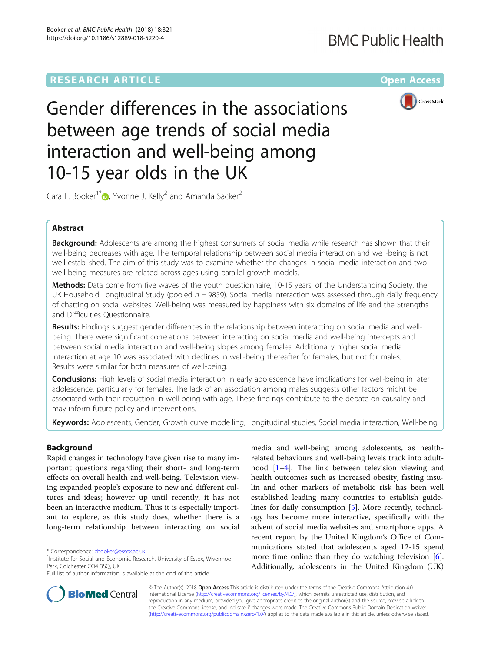# **RESEARCH ARTICLE External Structure Community Community Community Community Community Community Community Community**



Gender differences in the associations between age trends of social media interaction and well-being among 10-15 year olds in the UK

Cara L. Booker<sup>1[\\*](http://orcid.org/0000-0001-9189-8562)</sup> **D**, Yvonne J. Kelly<sup>2</sup> and Amanda Sacker<sup>2</sup>

## Abstract

Background: Adolescents are among the highest consumers of social media while research has shown that their well-being decreases with age. The temporal relationship between social media interaction and well-being is not well established. The aim of this study was to examine whether the changes in social media interaction and two well-being measures are related across ages using parallel growth models.

Methods: Data come from five waves of the youth questionnaire, 10-15 years, of the Understanding Society, the UK Household Longitudinal Study (pooled  $n = 9859$ ). Social media interaction was assessed through daily frequency of chatting on social websites. Well-being was measured by happiness with six domains of life and the Strengths and Difficulties Questionnaire.

Results: Findings suggest gender differences in the relationship between interacting on social media and wellbeing. There were significant correlations between interacting on social media and well-being intercepts and between social media interaction and well-being slopes among females. Additionally higher social media interaction at age 10 was associated with declines in well-being thereafter for females, but not for males. Results were similar for both measures of well-being.

**Conclusions:** High levels of social media interaction in early adolescence have implications for well-being in later adolescence, particularly for females. The lack of an association among males suggests other factors might be associated with their reduction in well-being with age. These findings contribute to the debate on causality and may inform future policy and interventions.

Keywords: Adolescents, Gender, Growth curve modelling, Longitudinal studies, Social media interaction, Well-being

## Background

Rapid changes in technology have given rise to many important questions regarding their short- and long-term effects on overall health and well-being. Television viewing expanded people's exposure to new and different cultures and ideas; however up until recently, it has not been an interactive medium. Thus it is especially important to explore, as this study does, whether there is a long-term relationship between interacting on social

media and well-being among adolescents, as healthrelated behaviours and well-being levels track into adulthood [\[1](#page-10-0)–[4\]](#page-10-0). The link between television viewing and health outcomes such as increased obesity, fasting insulin and other markers of metabolic risk has been well established leading many countries to establish guidelines for daily consumption [\[5\]](#page-10-0). More recently, technology has become more interactive, specifically with the advent of social media websites and smartphone apps. A recent report by the United Kingdom's Office of Communications stated that adolescents aged 12-15 spend more time online than they do watching television [\[6](#page-10-0)]. Additionally, adolescents in the United Kingdom (UK)



© The Author(s). 2018 Open Access This article is distributed under the terms of the Creative Commons Attribution 4.0 International License [\(http://creativecommons.org/licenses/by/4.0/](http://creativecommons.org/licenses/by/4.0/)), which permits unrestricted use, distribution, and reproduction in any medium, provided you give appropriate credit to the original author(s) and the source, provide a link to the Creative Commons license, and indicate if changes were made. The Creative Commons Public Domain Dedication waiver [\(http://creativecommons.org/publicdomain/zero/1.0/](http://creativecommons.org/publicdomain/zero/1.0/)) applies to the data made available in this article, unless otherwise stated.

<sup>\*</sup> Correspondence: [cbooker@essex.ac.uk](mailto:cbooker@essex.ac.uk) <sup>1</sup>

<sup>&</sup>lt;sup>1</sup>Institute for Social and Economic Research, University of Essex, Wivenhoe Park, Colchester CO4 3SQ, UK

Full list of author information is available at the end of the article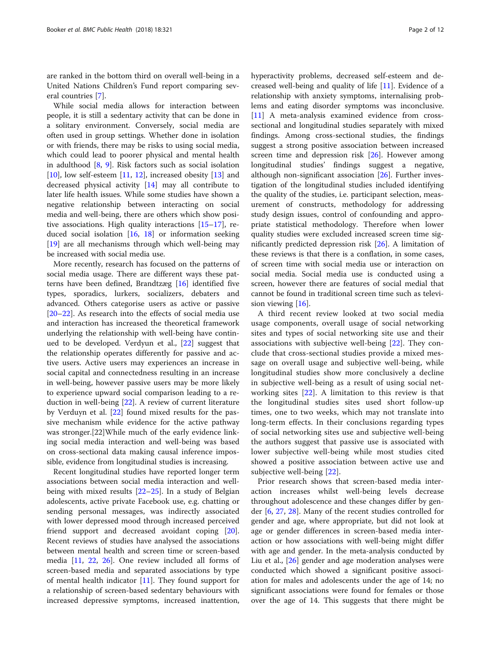are ranked in the bottom third on overall well-being in a United Nations Children's Fund report comparing several countries [[7\]](#page-10-0).

While social media allows for interaction between people, it is still a sedentary activity that can be done in a solitary environment. Conversely, social media are often used in group settings. Whether done in isolation or with friends, there may be risks to using social media, which could lead to poorer physical and mental health in adulthood [[8,](#page-10-0) [9\]](#page-10-0). Risk factors such as social isolation  $[10]$  $[10]$ , low self-esteem  $[11, 12]$  $[11, 12]$  $[11, 12]$ , increased obesity  $[13]$  and decreased physical activity [\[14](#page-10-0)] may all contribute to later life health issues. While some studies have shown a negative relationship between interacting on social media and well-being, there are others which show positive associations. High quality interactions [\[15](#page-10-0)–[17](#page-10-0)], reduced social isolation  $[16, 18]$  $[16, 18]$  $[16, 18]$  $[16, 18]$  or information seeking [[19\]](#page-10-0) are all mechanisms through which well-being may be increased with social media use.

More recently, research has focused on the patterns of social media usage. There are different ways these patterns have been defined, Brandtzæg [\[16\]](#page-10-0) identified five types, sporadics, lurkers, socializers, debaters and advanced. Others categorise users as active or passive [[20](#page-10-0)–[22](#page-10-0)]. As research into the effects of social media use and interaction has increased the theoretical framework underlying the relationship with well-being have continued to be developed. Verdyun et al., [\[22](#page-10-0)] suggest that the relationship operates differently for passive and active users. Active users may experiences an increase in social capital and connectedness resulting in an increase in well-being, however passive users may be more likely to experience upward social comparison leading to a reduction in well-being [[22](#page-10-0)]. A review of current literature by Verduyn et al. [[22\]](#page-10-0) found mixed results for the passive mechanism while evidence for the active pathway was stronger.[22]While much of the early evidence linking social media interaction and well-being was based on cross-sectional data making causal inference impossible, evidence from longitudinal studies is increasing.

Recent longitudinal studies have reported longer term associations between social media interaction and wellbeing with mixed results  $[22-25]$  $[22-25]$  $[22-25]$ . In a study of Belgian adolescents, active private Facebook use, e.g. chatting or sending personal messages, was indirectly associated with lower depressed mood through increased perceived friend support and decreased avoidant coping [\[20](#page-10-0)]. Recent reviews of studies have analysed the associations between mental health and screen time or screen-based media [[11,](#page-10-0) [22,](#page-10-0) [26\]](#page-10-0). One review included all forms of screen-based media and separated associations by type of mental health indicator  $[11]$  $[11]$  $[11]$ . They found support for a relationship of screen-based sedentary behaviours with increased depressive symptoms, increased inattention, hyperactivity problems, decreased self-esteem and decreased well-being and quality of life [\[11](#page-10-0)]. Evidence of a relationship with anxiety symptoms, internalising problems and eating disorder symptoms was inconclusive. [[11\]](#page-10-0) A meta-analysis examined evidence from crosssectional and longitudinal studies separately with mixed findings. Among cross-sectional studies, the findings suggest a strong positive association between increased screen time and depression risk [[26](#page-10-0)]. However among longitudinal studies' findings suggest a negative, although non-significant association [\[26\]](#page-10-0). Further investigation of the longitudinal studies included identifying the quality of the studies, i.e. participant selection, measurement of constructs, methodology for addressing study design issues, control of confounding and appropriate statistical methodology. Therefore when lower quality studies were excluded increased screen time significantly predicted depression risk [[26](#page-10-0)]. A limitation of these reviews is that there is a conflation, in some cases, of screen time with social media use or interaction on social media. Social media use is conducted using a screen, however there are features of social medial that cannot be found in traditional screen time such as television viewing  $[16]$  $[16]$  $[16]$ .

A third recent review looked at two social media usage components, overall usage of social networking sites and types of social networking site use and their associations with subjective well-being [[22\]](#page-10-0). They conclude that cross-sectional studies provide a mixed message on overall usage and subjective well-being, while longitudinal studies show more conclusively a decline in subjective well-being as a result of using social networking sites [\[22](#page-10-0)]. A limitation to this review is that the longitudinal studies sites used short follow-up times, one to two weeks, which may not translate into long-term effects. In their conclusions regarding types of social networking sites use and subjective well-being the authors suggest that passive use is associated with lower subjective well-being while most studies cited showed a positive association between active use and subjective well-being [[22\]](#page-10-0).

Prior research shows that screen-based media interaction increases whilst well-being levels decrease throughout adolescence and these changes differ by gender [\[6](#page-10-0), [27](#page-10-0), [28\]](#page-10-0). Many of the recent studies controlled for gender and age, where appropriate, but did not look at age or gender differences in screen-based media interaction or how associations with well-being might differ with age and gender. In the meta-analysis conducted by Liu et al., [[26\]](#page-10-0) gender and age moderation analyses were conducted which showed a significant positive association for males and adolescents under the age of 14; no significant associations were found for females or those over the age of 14. This suggests that there might be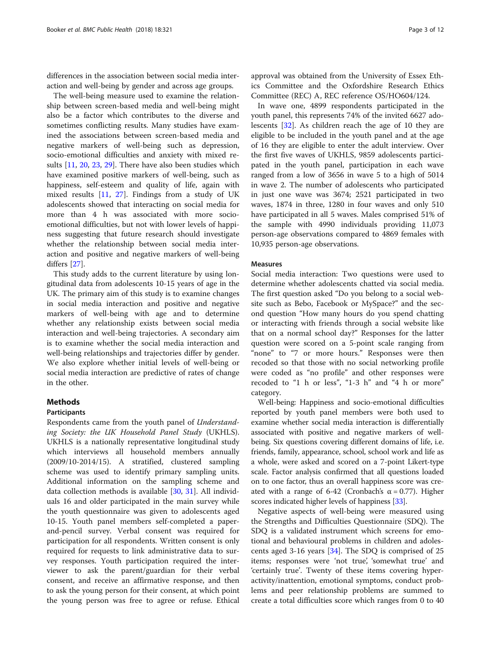differences in the association between social media interaction and well-being by gender and across age groups.

The well-being measure used to examine the relationship between screen-based media and well-being might also be a factor which contributes to the diverse and sometimes conflicting results. Many studies have examined the associations between screen-based media and negative markers of well-being such as depression, socio-emotional difficulties and anxiety with mixed results [[11](#page-10-0), [20](#page-10-0), [23](#page-10-0), [29](#page-10-0)]. There have also been studies which have examined positive markers of well-being, such as happiness, self-esteem and quality of life, again with mixed results [[11](#page-10-0), [27\]](#page-10-0). Findings from a study of UK adolescents showed that interacting on social media for more than 4 h was associated with more socioemotional difficulties, but not with lower levels of happiness suggesting that future research should investigate whether the relationship between social media interaction and positive and negative markers of well-being differs [\[27\]](#page-10-0).

This study adds to the current literature by using longitudinal data from adolescents 10-15 years of age in the UK. The primary aim of this study is to examine changes in social media interaction and positive and negative markers of well-being with age and to determine whether any relationship exists between social media interaction and well-being trajectories. A secondary aim is to examine whether the social media interaction and well-being relationships and trajectories differ by gender. We also explore whether initial levels of well-being or social media interaction are predictive of rates of change in the other.

## Methods

## Participants

Respondents came from the youth panel of Understanding Society: the UK Household Panel Study (UKHLS). UKHLS is a nationally representative longitudinal study which interviews all household members annually (2009/10-2014/15). A stratified, clustered sampling scheme was used to identify primary sampling units. Additional information on the sampling scheme and data collection methods is available [[30,](#page-10-0) [31\]](#page-10-0). All individuals 16 and older participated in the main survey while the youth questionnaire was given to adolescents aged 10-15. Youth panel members self-completed a paperand-pencil survey. Verbal consent was required for participation for all respondents. Written consent is only required for requests to link administrative data to survey responses. Youth participation required the interviewer to ask the parent/guardian for their verbal consent, and receive an affirmative response, and then to ask the young person for their consent, at which point the young person was free to agree or refuse. Ethical

approval was obtained from the University of Essex Ethics Committee and the Oxfordshire Research Ethics Committee (REC) A, REC reference OS/HO604/124.

In wave one, 4899 respondents participated in the youth panel, this represents 74% of the invited 6627 adolescents [\[32](#page-11-0)]. As children reach the age of 10 they are eligible to be included in the youth panel and at the age of 16 they are eligible to enter the adult interview. Over the first five waves of UKHLS, 9859 adolescents participated in the youth panel, participation in each wave ranged from a low of 3656 in wave 5 to a high of 5014 in wave 2. The number of adolescents who participated in just one wave was 3674; 2521 participated in two waves, 1874 in three, 1280 in four waves and only 510 have participated in all 5 waves. Males comprised 51% of the sample with 4990 individuals providing 11,073 person-age observations compared to 4869 females with 10,935 person-age observations.

### **Measures**

Social media interaction: Two questions were used to determine whether adolescents chatted via social media. The first question asked "Do you belong to a social website such as Bebo, Facebook or MySpace?" and the second question "How many hours do you spend chatting or interacting with friends through a social website like that on a normal school day?" Responses for the latter question were scored on a 5-point scale ranging from "none" to "7 or more hours." Responses were then recoded so that those with no social networking profile were coded as "no profile" and other responses were recoded to "1 h or less", "1-3 h" and "4 h or more" category.

Well-being: Happiness and socio-emotional difficulties reported by youth panel members were both used to examine whether social media interaction is differentially associated with positive and negative markers of wellbeing. Six questions covering different domains of life, i.e. friends, family, appearance, school, school work and life as a whole, were asked and scored on a 7-point Likert-type scale. Factor analysis confirmed that all questions loaded on to one factor, thus an overall happiness score was created with a range of 6-42 (Cronbach's  $\alpha = 0.77$ ). Higher scores indicated higher levels of happiness [\[33\]](#page-11-0).

Negative aspects of well-being were measured using the Strengths and Difficulties Questionnaire (SDQ). The SDQ is a validated instrument which screens for emotional and behavioural problems in children and adolescents aged 3-16 years [\[34](#page-11-0)]. The SDQ is comprised of 25 items; responses were 'not true', 'somewhat true' and 'certainly true'. Twenty of these items covering hyperactivity/inattention, emotional symptoms, conduct problems and peer relationship problems are summed to create a total difficulties score which ranges from 0 to 40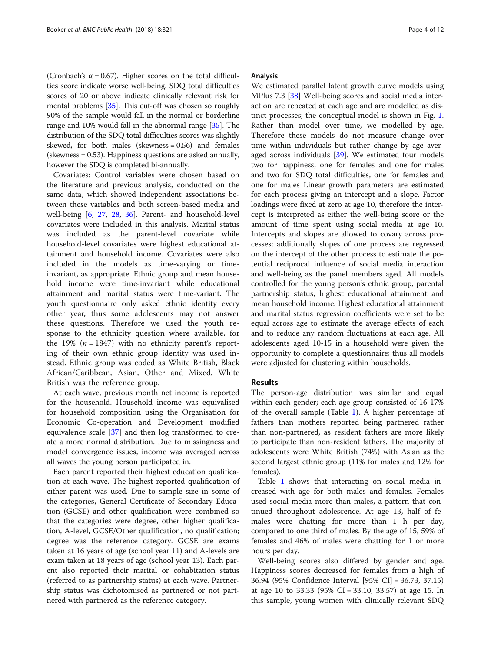(Cronbach's  $\alpha$  = 0.67). Higher scores on the total difficulties score indicate worse well-being. SDQ total difficulties scores of 20 or above indicate clinically relevant risk for mental problems [[35](#page-11-0)]. This cut-off was chosen so roughly 90% of the sample would fall in the normal or borderline range and 10% would fall in the abnormal range [[35](#page-11-0)]. The distribution of the SDQ total difficulties scores was slightly skewed, for both males (skewness  $= 0.56$ ) and females (skewness = 0.53). Happiness questions are asked annually, however the SDQ is completed bi-annually.

Covariates: Control variables were chosen based on the literature and previous analysis, conducted on the same data, which showed independent associations between these variables and both screen-based media and well-being [[6,](#page-10-0) [27](#page-10-0), [28](#page-10-0), [36\]](#page-11-0). Parent- and household-level covariates were included in this analysis. Marital status was included as the parent-level covariate while household-level covariates were highest educational attainment and household income. Covariates were also included in the models as time-varying or timeinvariant, as appropriate. Ethnic group and mean household income were time-invariant while educational attainment and marital status were time-variant. The youth questionnaire only asked ethnic identity every other year, thus some adolescents may not answer these questions. Therefore we used the youth response to the ethnicity question where available, for the 19%  $(n = 1847)$  with no ethnicity parent's reporting of their own ethnic group identity was used instead. Ethnic group was coded as White British, Black African/Caribbean, Asian, Other and Mixed. White British was the reference group.

At each wave, previous month net income is reported for the household. Household income was equivalised for household composition using the Organisation for Economic Co-operation and Development modified equivalence scale [[37](#page-11-0)] and then log transformed to create a more normal distribution. Due to missingness and model convergence issues, income was averaged across all waves the young person participated in.

Each parent reported their highest education qualification at each wave. The highest reported qualification of either parent was used. Due to sample size in some of the categories, General Certificate of Secondary Education (GCSE) and other qualification were combined so that the categories were degree, other higher qualification, A-level, GCSE/Other qualification, no qualification; degree was the reference category. GCSE are exams taken at 16 years of age (school year 11) and A-levels are exam taken at 18 years of age (school year 13). Each parent also reported their marital or cohabitation status (referred to as partnership status) at each wave. Partnership status was dichotomised as partnered or not partnered with partnered as the reference category.

## Analysis

We estimated parallel latent growth curve models using MPlus 7.3 [\[38\]](#page-11-0) Well-being scores and social media interaction are repeated at each age and are modelled as distinct processes; the conceptual model is shown in Fig. [1](#page-4-0). Rather than model over time, we modelled by age. Therefore these models do not measure change over time within individuals but rather change by age aver-aged across individuals [[39\]](#page-11-0). We estimated four models two for happiness, one for females and one for males and two for SDQ total difficulties, one for females and one for males Linear growth parameters are estimated for each process giving an intercept and a slope. Factor loadings were fixed at zero at age 10, therefore the intercept is interpreted as either the well-being score or the amount of time spent using social media at age 10. Intercepts and slopes are allowed to covary across processes; additionally slopes of one process are regressed on the intercept of the other process to estimate the potential reciprocal influence of social media interaction and well-being as the panel members aged. All models controlled for the young person's ethnic group, parental partnership status, highest educational attainment and mean household income. Highest educational attainment and marital status regression coefficients were set to be equal across age to estimate the average effects of each and to reduce any random fluctuations at each age. All adolescents aged 10-15 in a household were given the opportunity to complete a questionnaire; thus all models were adjusted for clustering within households.

## Results

The person-age distribution was similar and equal within each gender; each age group consisted of 16-17% of the overall sample (Table [1\)](#page-5-0). A higher percentage of fathers than mothers reported being partnered rather than non-partnered, as resident fathers are more likely to participate than non-resident fathers. The majority of adolescents were White British (74%) with Asian as the second largest ethnic group (11% for males and 12% for females).

Table [1](#page-5-0) shows that interacting on social media increased with age for both males and females. Females used social media more than males, a pattern that continued throughout adolescence. At age 13, half of females were chatting for more than 1 h per day, compared to one third of males. By the age of 15, 59% of females and 46% of males were chatting for 1 or more hours per day.

Well-being scores also differed by gender and age. Happiness scores decreased for females from a high of 36.94 (95% Confidence Interval [95% CI] = 36.73, 37.15) at age 10 to 33.33 (95% CI = 33.10, 33.57) at age 15. In this sample, young women with clinically relevant SDQ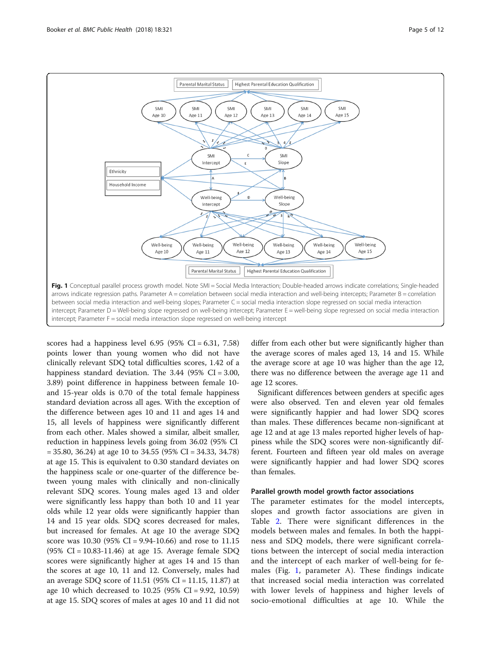<span id="page-4-0"></span>

scores had a happiness level  $6.95$   $(95\% \text{ CI} = 6.31, 7.58)$ points lower than young women who did not have clinically relevant SDQ total difficulties scores, 1.42 of a happiness standard deviation. The  $3.44$  (95% CI =  $3.00$ , 3.89) point difference in happiness between female 10 and 15-year olds is 0.70 of the total female happiness standard deviation across all ages. With the exception of the difference between ages 10 and 11 and ages 14 and 15, all levels of happiness were significantly different from each other. Males showed a similar, albeit smaller, reduction in happiness levels going from 36.02 (95% CI  $= 35.80, 36.24$  at age 10 to 34.55 (95% CI = 34.33, 34.78) at age 15. This is equivalent to 0.30 standard deviates on the happiness scale or one-quarter of the difference between young males with clinically and non-clinically relevant SDQ scores. Young males aged 13 and older were significantly less happy than both 10 and 11 year olds while 12 year olds were significantly happier than 14 and 15 year olds. SDQ scores decreased for males, but increased for females. At age 10 the average SDQ score was 10.30 (95% CI = 9.94-10.66) and rose to 11.15  $(95\% \text{ CI} = 10.83 - 11.46)$  at age 15. Average female SDQ scores were significantly higher at ages 14 and 15 than the scores at age 10, 11 and 12. Conversely, males had an average SDQ score of 11.51 (95% CI = 11.15, 11.87) at age 10 which decreased to 10.25 (95% CI = 9.92, 10.59) at age 15. SDQ scores of males at ages 10 and 11 did not

differ from each other but were significantly higher than the average scores of males aged 13, 14 and 15. While the average score at age 10 was higher than the age 12, there was no difference between the average age 11 and age 12 scores.

Significant differences between genders at specific ages were also observed. Ten and eleven year old females were significantly happier and had lower SDQ scores than males. These differences became non-significant at age 12 and at age 13 males reported higher levels of happiness while the SDQ scores were non-significantly different. Fourteen and fifteen year old males on average were significantly happier and had lower SDQ scores than females.

### Parallel growth model growth factor associations

The parameter estimates for the model intercepts, slopes and growth factor associations are given in Table [2.](#page-6-0) There were significant differences in the models between males and females. In both the happiness and SDQ models, there were significant correlations between the intercept of social media interaction and the intercept of each marker of well-being for females (Fig. 1, parameter A). These findings indicate that increased social media interaction was correlated with lower levels of happiness and higher levels of socio-emotional difficulties at age 10. While the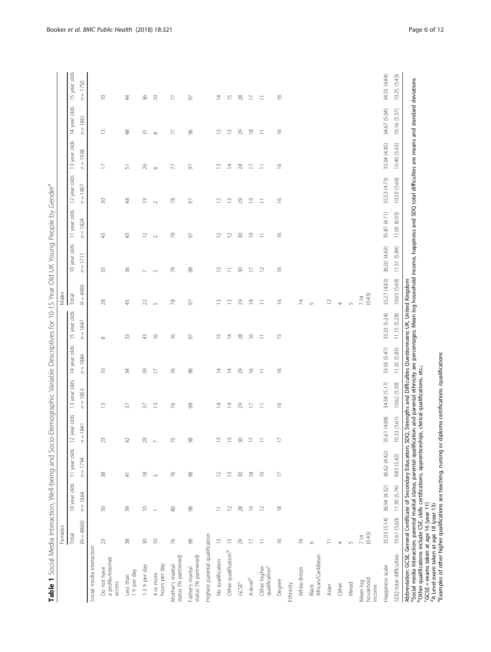| ì                                        |
|------------------------------------------|
| ì                                        |
| $\frac{1}{2}$                            |
| $\frac{1}{2}$<br>Ï<br>ţ                  |
|                                          |
| ć                                        |
|                                          |
| ï                                        |
|                                          |
| Ì                                        |
| $\ddot{\phantom{a}}$                     |
| Ì                                        |
|                                          |
|                                          |
|                                          |
|                                          |
| 5                                        |
|                                          |
| $\vdots$                                 |
|                                          |
|                                          |
| Ï<br>١                                   |
| $\vdots$                                 |
| $\mathbf{I}$                             |
| j                                        |
|                                          |
| j                                        |
| ١<br>l                                   |
| I                                        |
|                                          |
|                                          |
|                                          |
| l                                        |
| ļ<br>Ó                                   |
|                                          |
| i<br>ׇֺ֖֚֝֝֬                             |
| ï                                        |
| $\mathbf{I}$<br>l                        |
| ֧֧֦֧֦֧֦֧֦֧֦֧֦֧֦֧֦֧֦֧֦֧֦֧֦֧֦֧֦֧<br>l<br>I |
| l                                        |
|                                          |
|                                          |
|                                          |
| Ċ                                        |
| j                                        |
|                                          |
|                                          |
| ۱                                        |
|                                          |
|                                          |
| Ï                                        |
|                                          |
| Ì                                        |
|                                          |
|                                          |
|                                          |
|                                          |
|                                          |
|                                          |
| $\overline{\phantom{a}}$<br>l            |
|                                          |
|                                          |
| i əldis.<br>ŕ                            |

<span id="page-5-0"></span>

|                                                                                                                                                                                                                                                                                                                                                                                                                                                                                                                                                                                                                                                                | Females            |                            |                         |                             |                                    |                       |                           | Males          |               |                          |                     |                   |               |                          |
|----------------------------------------------------------------------------------------------------------------------------------------------------------------------------------------------------------------------------------------------------------------------------------------------------------------------------------------------------------------------------------------------------------------------------------------------------------------------------------------------------------------------------------------------------------------------------------------------------------------------------------------------------------------|--------------------|----------------------------|-------------------------|-----------------------------|------------------------------------|-----------------------|---------------------------|----------------|---------------|--------------------------|---------------------|-------------------|---------------|--------------------------|
|                                                                                                                                                                                                                                                                                                                                                                                                                                                                                                                                                                                                                                                                | Total              | 10 year olds               | 11 year olds            | year olds<br>$\approx$      | 13 year olds                       | 14 year olds          | 15 year olds              | Total          | 10 year olds  | 11 year olds             | 12 year olds        | 13 year olds      | 14 year olds  | 15 year olds             |
|                                                                                                                                                                                                                                                                                                                                                                                                                                                                                                                                                                                                                                                                | $(N = 4869)$       | $n = 1664$                 | $n = 1794$              | 1841<br>$\frac{1}{2}$       | $=1853$<br>$\overline{z}$          | $n = 1884$            | $n = 1847$                | $-4990$<br>z   | $n = 1711$    | $n = 1824$               | $n = 1907$          | $n = 1938$        | $n = 1861$    | $n = 1750$               |
| Social media interaction                                                                                                                                                                                                                                                                                                                                                                                                                                                                                                                                                                                                                                       |                    |                            |                         |                             |                                    |                       |                           |                |               |                          |                     |                   |               |                          |
| a profile/internet<br>Do not have<br>access                                                                                                                                                                                                                                                                                                                                                                                                                                                                                                                                                                                                                    | 23                 | SO                         | 38                      | 23                          | $\tilde{=}$                        | $\supseteq$           | $\infty$                  | 28             | 55            | $\frac{3}{4}$            | $\approx$           | $\overline{1}$    | $\tilde{=}$   | $\supseteq$              |
| 1 h per day<br>Less than                                                                                                                                                                                                                                                                                                                                                                                                                                                                                                                                                                                                                                       | $38$               | $\mathcal{S}^{\mathbb{C}}$ | $\pm$                   | $42\,$                      | $\approx$                          | 34                    | 33                        | 45             | 96            | $43$                     | $\frac{8}{3}$       | 5                 | $\frac{8}{4}$ | $\ddot{4}$               |
| 1-3 h per day                                                                                                                                                                                                                                                                                                                                                                                                                                                                                                                                                                                                                                                  | $\approx$          | $\supseteq$                | $\frac{\infty}{\infty}$ | $\overline{29}$             | $\approx$                          | $\sqrt{3}$            | $43$                      | 22             | $\sim$        | $\supseteq$              | $\overline{0}$      | $\geqslant$       | 등             | $36$                     |
| hours per day<br>4 or more                                                                                                                                                                                                                                                                                                                                                                                                                                                                                                                                                                                                                                     | $\supseteq$        | $\overline{\phantom{0}}$   | $\infty$                | $\triangleright$            | $\tilde{=}$                        | $\overline{1}$        | $\frac{\circ}{\circ}$     | $\sqrt{2}$     | $\sim$        | $\sim$                   | $\sim$              | $\circ$           | $\infty$      | $\supseteq$              |
| status (% partnered)<br>Mother's marital                                                                                                                                                                                                                                                                                                                                                                                                                                                                                                                                                                                                                       | $\frac{1}{6}$      | 80                         | 76                      | 75                          | $\frac{1}{2}$                      | 76                    | $\sqrt{6}$                | 78             | $\mathcal{L}$ | $\mathcal{P}^{\circ}$    | $\approx$           | 77                | 77            | 77                       |
| status (% partnered)<br>Father's marital                                                                                                                                                                                                                                                                                                                                                                                                                                                                                                                                                                                                                       | 8                  | 8                          | 8                       | 88                          | 88                                 | 8 <sup>o</sup>        | 57                        | 56             | 8             | 5                        | 5                   | 92                | 96            | 57                       |
| Highest parental qualification                                                                                                                                                                                                                                                                                                                                                                                                                                                                                                                                                                                                                                 |                    |                            |                         |                             |                                    |                       |                           |                |               |                          |                     |                   |               |                          |
| No qualification                                                                                                                                                                                                                                                                                                                                                                                                                                                                                                                                                                                                                                               | $\tilde{=}$        | Ξ                          | $\geq$                  | $\frac{1}{2}$               | $\overline{4}$                     | $\overline{4}$        | $\frac{5}{1}$             | $\tilde{1}$    | $\frac{1}{2}$ | $\supseteq$              | $\approx$           | $\widetilde{\Xi}$ | $\tilde{=}$   | $\overline{4}$           |
| Other qualification <sup>b</sup>                                                                                                                                                                                                                                                                                                                                                                                                                                                                                                                                                                                                                               | $\widetilde{\Box}$ | $\approx$                  | $\widetilde{\Box}$      | $\frac{1}{2}$               | $\overline{4}$                     | $\overline{4}$        | $\overline{4}$            | $\frac{3}{2}$  | Ξ             | $\geq$                   | $\frac{3}{2}$       | $\overline{4}$    | $\tilde{=}$   | $\overline{1}$           |
| GCSE <sup>c</sup>                                                                                                                                                                                                                                                                                                                                                                                                                                                                                                                                                                                                                                              | 29                 | $^{28}$                    | 30                      | $\Im$                       | 29                                 | 29                    | 28                        | 29             | $\rm 30$      | $\rm 30$                 | 29                  | $28$              | 29            | $28$                     |
| A-level <sup>d</sup>                                                                                                                                                                                                                                                                                                                                                                                                                                                                                                                                                                                                                                           | $\overline{1}$     | $\overline{\omega}$        | $\approx$               | $\Box$                      | $\Box$                             | $\frac{\circ}{\circ}$ | $\widetilde{\phantom{a}}$ | $\frac{8}{10}$ | $\Box$        | $\overline{\phantom{a}}$ | $\overline{\omega}$ | $\Box$            | $\approx$     | $\overline{\phantom{0}}$ |
| qualificaiton <sup>e</sup><br>Other higher                                                                                                                                                                                                                                                                                                                                                                                                                                                                                                                                                                                                                     | Ξ                  | $\supseteq$                | $\supseteq$             | $\equiv$                    | $\equiv$                           | Ξ                     | Ξ                         | Ξ              | $\approx$     | $\equiv$                 | Ξ                   | $\equiv$          | Ξ             | $\equiv$                 |
| Degree                                                                                                                                                                                                                                                                                                                                                                                                                                                                                                                                                                                                                                                         | $\frac{8}{1}$      | $\frac{8}{1}$              | $\Box$                  | $\Box$                      | $\frac{6}{1}$                      | $\frac{6}{1}$         | $\overline{10}$           | $\frac{6}{1}$  | $\frac{6}{1}$ | $\frac{6}{1}$            | $\frac{6}{1}$       | $\frac{6}{1}$     | $\frac{6}{2}$ | $\frac{6}{1}$            |
| Ethnicity                                                                                                                                                                                                                                                                                                                                                                                                                                                                                                                                                                                                                                                      |                    |                            |                         |                             |                                    |                       |                           |                |               |                          |                     |                   |               |                          |
| White British                                                                                                                                                                                                                                                                                                                                                                                                                                                                                                                                                                                                                                                  | $\overline{7}$     |                            |                         |                             |                                    |                       |                           | $\overline{7}$ |               |                          |                     |                   |               |                          |
| African/Caribbean<br><b>Black</b>                                                                                                                                                                                                                                                                                                                                                                                                                                                                                                                                                                                                                              | $\circ$            |                            |                         |                             |                                    |                       |                           | $\sqrt{2}$     |               |                          |                     |                   |               |                          |
| Asian                                                                                                                                                                                                                                                                                                                                                                                                                                                                                                                                                                                                                                                          | Ξ                  |                            |                         |                             |                                    |                       |                           | $\supseteq$    |               |                          |                     |                   |               |                          |
| Other                                                                                                                                                                                                                                                                                                                                                                                                                                                                                                                                                                                                                                                          | 4                  |                            |                         |                             |                                    |                       |                           | 4              |               |                          |                     |                   |               |                          |
| Mixed                                                                                                                                                                                                                                                                                                                                                                                                                                                                                                                                                                                                                                                          | $\mathsf{L}\cap$   |                            |                         |                             |                                    |                       |                           | $\sqrt{2}$     |               |                          |                     |                   |               |                          |
| household<br>Mean log<br>income                                                                                                                                                                                                                                                                                                                                                                                                                                                                                                                                                                                                                                | (0.43)<br>7.14     |                            |                         |                             |                                    |                       |                           | (0.43)<br>7.14 |               |                          |                     |                   |               |                          |
| Happiness scale                                                                                                                                                                                                                                                                                                                                                                                                                                                                                                                                                                                                                                                | 35.03 (5.14)       | 36.94 (4.32)               | 36.62 (4.42)            | 61 (4.88)<br>35.6           | 34.38 (5.17)                       | 33.56 (5.47)          | 33.33 (5.24)              | 35.27 (4.83)   | 36.02 (4.63)  | 35.87 (4.71)             | 35.53 (4.73)        | 35.04 (4.85)      | 34.67 (5.04)  | 34.55 (4.84)             |
| SDQ total difficulties                                                                                                                                                                                                                                                                                                                                                                                                                                                                                                                                                                                                                                         | 10.61 (5.60)       | 11.30 (5.74)               | 9.83 (5.42)             | 33 (5.61)<br>$\overline{a}$ | 10.62 (5.59)                       | 11.35 (5.83)          | 11.15 (5.28)              | 10.65 (5.69)   | 11.51 (5.89)  | 11.05 (6.03)             | 10.59 (5.66)        | 10.40 (5.63)      | 10.16 (5.37)  | 10.25(5.43)              |
| "Social media Interaction, parental marital status, parental qualification and parental ethnicity are percentages; Mean log household income, happiness and SDQ total difficulties are means and standard deviations<br>Abbreviation: GCSE, General Certificate of Secondary Education; SDQ, Strengths and Difficulties Questionnaire; UK, United Kingdom<br>Examples of other higher qualifications are teaching, nursing or diploma certifications /qualifications<br><sup>b</sup> Other qualifications include CSE, skills certifications, apprenticeship<br>'GCSE = exams taken at age 16 (year 11)<br><sup>d</sup> A Level exam taken at age 18 (year 13) |                    |                            |                         |                             | os, clerical qualifications, etc.; |                       |                           |                |               |                          |                     |                   |               |                          |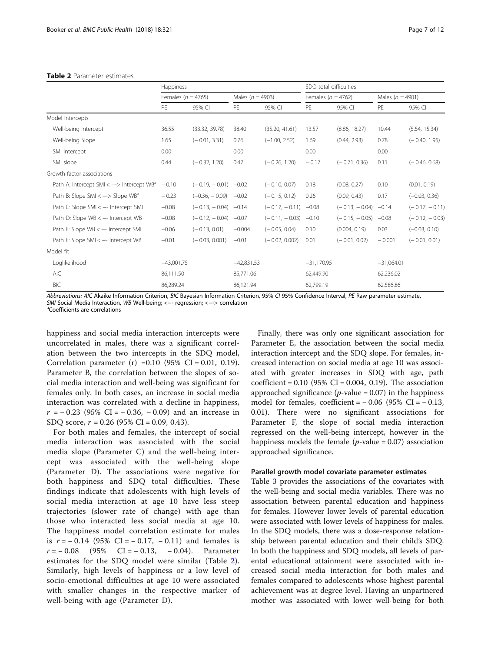### <span id="page-6-0"></span>Table 2 Parameter estimates

|                                                                 | Happiness              |                        |                      |                  | SDQ total difficulties |                  |                      |                  |
|-----------------------------------------------------------------|------------------------|------------------------|----------------------|------------------|------------------------|------------------|----------------------|------------------|
|                                                                 | Females ( $n = 4765$ ) |                        | Males ( $n = 4903$ ) |                  | Females ( $n = 4762$ ) |                  | Males ( $n = 4901$ ) |                  |
|                                                                 | PE                     | 95% CI                 | PE                   | 95% CI           | PE                     | 95% CI           | PE                   | 95% CI           |
| Model Intercepts                                                |                        |                        |                      |                  |                        |                  |                      |                  |
| Well-being Intercept                                            | 36.55                  | (33.32, 39.78)         | 38.40                | (35.20, 41.61)   | 13.57                  | (8.86, 18.27)    | 10.44                | (5.54, 15.34)    |
| Well-being Slope                                                | 1.65                   | $(-0.01, 3.31)$        | 0.76                 | $(-1.00, 2.52)$  | 1.69                   | (0.44, 2.93)     | 0.78                 | $(-0.40, 1.95)$  |
| SMI intercept                                                   | 0.00                   |                        | 0.00                 |                  | 0.00                   |                  | 0.00                 |                  |
| SMI slope                                                       | 0.44                   | $(-0.32, 1.20)$        | 0.47                 | $(-0.26, 1.20)$  | $-0.17$                | $(-0.71, 0.36)$  | 0.11                 | $(-0.46, 0.68)$  |
| Growth factor associations                                      |                        |                        |                      |                  |                        |                  |                      |                  |
| Path A: Intercept SMI < $\rightarrow$ Intercept WB <sup>a</sup> | $-0.10$                | $(-0.19, -0.01)$ -0.02 |                      | $(-0.10, 0.07)$  | 0.18                   | (0.08, 0.27)     | 0.10                 | (0.01, 0.19)     |
| Path B: Slope SMI $\lt$ --> Slope WB <sup>a</sup>               | $-0.23$                | $(-0.36, -0.09)$       | $-0.02$              | $(-0.15, 0.12)$  | 0.26                   | (0.09, 0.43)     | 0.17                 | $(-0.03, 0.36)$  |
| Path C: Slope SMI < -- Intercept SMI                            | $-0.08$                | $(-0.13, -0.04)$       | $-0.14$              | $(-0.17, -0.11)$ | $-0.08$                | $(-0.13, -0.04)$ | $-0.14$              | $(-0.17, -0.11)$ |
| Path D: Slope WB < -- Intercept WB                              | $-0.08$                | $(-0.12, -0.04)$       | $-0.07$              | $(-0.11, -0.03)$ | $-0.10$                | $(-0.15, -0.05)$ | $-0.08$              | $(-0.12, -0.03)$ |
| Path E: Slope WB < -- Intercept SMI                             | $-0.06$                | $(-0.13, 0.01)$        | $-0.004$             | $(-0.05, 0.04)$  | 0.10                   | (0.004, 0.19)    | 0.03                 | $(-0.03, 0.10)$  |
| Path F: Slope SMI < -- Intercept WB                             | $-0.01$                | $(-0.03, 0.001)$       | $-0.01$              | $(-0.02, 0.002)$ | 0.01                   | $(-0.01, 0.02)$  | $-0.001$             | $(-0.01, 0.01)$  |
| Model fit                                                       |                        |                        |                      |                  |                        |                  |                      |                  |
| Loglikelihood                                                   | $-43,001.75$           |                        | $-42,831.53$         |                  | $-31,170.95$           |                  | $-31,064.01$         |                  |
| AIC                                                             | 86,111.50              |                        | 85,771.06            |                  | 62,449.90              |                  | 62,236.02            |                  |
| BIC                                                             | 86,289.24              |                        | 86,121.94            |                  | 62,799.19              |                  | 62,586.86            |                  |

Abbreviations: AIC Akaike Information Criterion, BIC Bayesian Information Criterion, 95% C1 95% Confidence Interval, PE Raw parameter estimate, SMI Social Media Interaction, WB Well-being; <-- regression; <-- > correlation

<sup>a</sup>Coefficients are correlations

happiness and social media interaction intercepts were uncorrelated in males, there was a significant correlation between the two intercepts in the SDQ model, Correlation parameter  $(r) = 0.10$  (95% CI = 0.01, 0.19). Parameter B, the correlation between the slopes of social media interaction and well-being was significant for females only. In both cases, an increase in social media interaction was correlated with a decline in happiness,  $r = -0.23$  (95% CI =  $-0.36$ ,  $-0.09$ ) and an increase in SDQ score, r = 0.26 (95% CI = 0.09, 0.43).

For both males and females, the intercept of social media interaction was associated with the social media slope (Parameter C) and the well-being intercept was associated with the well-being slope (Parameter D). The associations were negative for both happiness and SDQ total difficulties. These findings indicate that adolescents with high levels of social media interaction at age 10 have less steep trajectories (slower rate of change) with age than those who interacted less social media at age 10. The happiness model correlation estimate for males is  $r = -0.14$  (95% CI =  $-0.17$ ,  $-0.11$ ) and females is  $r = -0.08$  (95% CI =  $-0.13$ ,  $-0.04$ ). Parameter estimates for the SDQ model were similar (Table 2). Similarly, high levels of happiness or a low level of socio-emotional difficulties at age 10 were associated with smaller changes in the respective marker of well-being with age (Parameter D).

Finally, there was only one significant association for Parameter E, the association between the social media interaction intercept and the SDQ slope. For females, increased interaction on social media at age 10 was associated with greater increases in SDQ with age, path coefficient =  $0.10$  (95% CI =  $0.004$ , 0.19). The association approached significance ( $p$ -value = 0.07) in the happiness model for females, coefficient =  $-0.06$  (95% CI =  $-0.13$ , 0.01). There were no significant associations for Parameter F, the slope of social media interaction regressed on the well-being intercept, however in the happiness models the female  $(p$ -value = 0.07) association approached significance.

## Parallel growth model covariate parameter estimates

Table [3](#page-7-0) provides the associations of the covariates with the well-being and social media variables. There was no association between parental education and happiness for females. However lower levels of parental education were associated with lower levels of happiness for males. In the SDQ models, there was a dose-response relationship between parental education and their child's SDQ. In both the happiness and SDQ models, all levels of parental educational attainment were associated with increased social media interaction for both males and females compared to adolescents whose highest parental achievement was at degree level. Having an unpartnered mother was associated with lower well-being for both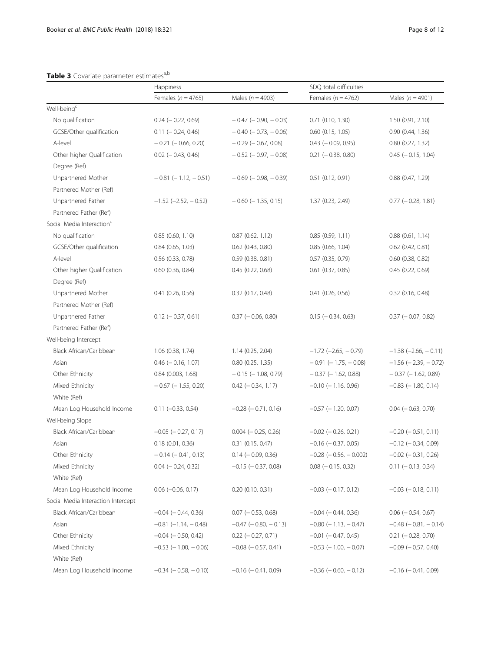## <span id="page-7-0"></span>Table 3 Covariate parameter estimates<sup>a,b</sup>

|                                       | Happiness                     |                               | SDQ total difficulties         |                               |  |
|---------------------------------------|-------------------------------|-------------------------------|--------------------------------|-------------------------------|--|
|                                       | Females ( $n = 4765$ )        | Males ( $n = 4903$ )          | Females ( $n = 4762$ )         | Males ( $n = 4901$ )          |  |
| Well-being <sup>c</sup>               |                               |                               |                                |                               |  |
| No qualification                      | $0.24 (-0.22, 0.69)$          | $-0.47$ ( $-0.90$ , $-0.03$ ) | $0.71$ $(0.10, 1.30)$          | 1.50 (0.91, 2.10)             |  |
| GCSE/Other qualification              | $0.11 (-0.24, 0.46)$          | $-0.40$ ( $-0.73$ , $-0.06$ ) | $0.60$ $(0.15, 1.05)$          | 0.90(0.44, 1.36)              |  |
| A-level                               | $-0.21$ ( $-0.66$ , 0.20)     | $-0.29$ ( $-0.67$ , 0.08)     | $0.43$ (-0.09, 0.95)           | $0.80$ $(0.27, 1.32)$         |  |
| Other higher Qualification            | $0.02$ ( $-0.43$ , 0.46)      | $-0.52$ ( $-0.97$ , $-0.08$ ) | $0.21$ ( $-0.38$ , 0.80)       | $0.45$ ( $-0.15$ , 1.04)      |  |
| Degree (Ref)                          |                               |                               |                                |                               |  |
| Unpartnered Mother                    | $-0.81$ ( $-1.12$ , $-0.51$ ) | $-0.69$ ( $-0.98$ , $-0.39$ ) | 0.51 (0.12, 0.91)              | $0.88$ $(0.47, 1.29)$         |  |
| Partnered Mother (Ref)                |                               |                               |                                |                               |  |
| Unpartnered Father                    | $-1.52$ ( $-2.52$ , $-0.52$ ) | $-0.60$ ( $-1.35$ , 0.15)     | 1.37 (0.23, 2.49)              | $0.77$ ( $-0.28$ , 1.81)      |  |
| Partnered Father (Ref)                |                               |                               |                                |                               |  |
| Social Media Interaction <sup>c</sup> |                               |                               |                                |                               |  |
| No qualification                      | 0.85(0.60, 1.10)              | $0.87$ $(0.62, 1.12)$         | 0.85(0.59, 1.11)               | $0.88$ $(0.61, 1.14)$         |  |
| GCSE/Other qualification              | 0.84(0.65, 1.03)              | $0.62$ (0.43, 0.80)           | 0.85(0.66, 1.04)               | 0.62 (0.42, 0.81)             |  |
| A-level                               | $0.56$ (0.33, 0.78)           | $0.59$ (0.38, 0.81)           | $0.57$ $(0.35, 0.79)$          | 0.60 (0.38, 0.82)             |  |
| Other higher Qualification            | $0.60$ (0.36, 0.84)           | 0.45(0.22, 0.68)              | $0.61$ $(0.37, 0.85)$          | 0.45(0.22, 0.69)              |  |
| Degree (Ref)                          |                               |                               |                                |                               |  |
| Unpartnered Mother                    | 0.41(0.26, 0.56)              | $0.32$ $(0.17, 0.48)$         | $0.41$ $(0.26, 0.56)$          | $0.32$ $(0.16, 0.48)$         |  |
| Partnered Mother (Ref)                |                               |                               |                                |                               |  |
| Unpartnered Father                    | $0.12$ ( $-0.37, 0.61$ )      | $0.37$ ( $-0.06$ , 0.80)      | $0.15$ ( $-0.34$ , 0.63)       | $0.37 (-0.07, 0.82)$          |  |
| Partnered Father (Ref)                |                               |                               |                                |                               |  |
| Well-being Intercept                  |                               |                               |                                |                               |  |
| Black African/Caribbean               | $1.06$ (0.38, 1.74)           | 1.14(0.25, 2.04)              | $-1.72$ ( $-2.65$ , $-0.79$ )  | $-1.38$ ( $-2.66$ , $-0.11$ ) |  |
| Asian                                 | $0.46$ ( $-0.16$ , 1.07)      | $0.80$ $(0.25, 1.35)$         | $-0.91$ ( $-1.75$ , $-0.08$ )  | $-1.56$ ( $-2.39$ , $-0.72$ ) |  |
| Other Ethnicity                       | $0.84$ (0.003, 1.68)          | $-0.15$ ( $-1.08$ , 0.79)     | $-0.37$ ( $-1.62$ , 0.88)      | $-0.37$ ( $-1.62$ , 0.89)     |  |
| Mixed Ethnicity                       | $-0.67$ ( $-1.55$ , 0.20)     | $0.42$ (-0.34, 1.17)          | $-0.10$ ( $-1.16$ , 0.96)      | $-0.83$ ( $-1.80$ , 0.14)     |  |
| White (Ref)                           |                               |                               |                                |                               |  |
| Mean Log Household Income             | $0.11 (-0.33, 0.54)$          | $-0.28$ ( $-0.71$ , 0.16)     | $-0.57$ ( $-1.20$ , 0.07)      | $0.04$ ( $-0.63$ , 0.70)      |  |
| Well-being Slope                      |                               |                               |                                |                               |  |
| Black African/Caribbean               | $-0.05$ $(-0.27, 0.17)$       | $0.004 (-0.25, 0.26)$         | $-0.02$ ( $-0.26$ , 0.21)      | $-0.20$ ( $-0.51$ , 0.11)     |  |
| Asian                                 | 0.18(0.01, 0.36)              | $0.31$ $(0.15, 0.47)$         | $-0.16$ ( $-0.37$ , 0.05)      | $-0.12$ ( $-0.34$ , 0.09)     |  |
| Other Ethnicity                       | $-0.14 (-0.41, 0.13)$         | $0.14 (-0.09, 0.36)$          | $-0.28$ ( $-0.56$ , $-0.002$ ) | $-0.02$ ( $-0.31$ , 0.26)     |  |
| Mixed Ethnicity                       | $0.04 (-0.24, 0.32)$          | $-0.15$ ( $-0.37$ , 0.08)     | $0.08$ ( $-0.15$ , 0.32)       | $0.11 (-0.13, 0.34)$          |  |
| White (Ref)                           |                               |                               |                                |                               |  |
| Mean Log Household Income             | $0.06$ ( $-0.06$ , $0.17$ )   | 0.20 (0.10, 0.31)             | $-0.03$ ( $-0.17$ , 0.12)      | $-0.03$ ( $-0.18$ , 0.11)     |  |
| Social Media Interaction Intercept    |                               |                               |                                |                               |  |
| Black African/Caribbean               | $-0.04$ ( $-0.44$ , 0.36)     | $0.07$ ( $-0.53$ , 0.68)      | $-0.04$ ( $-0.44$ , 0.36)      | $0.06$ ( $-0.54$ , 0.67)      |  |
| Asian                                 | $-0.81$ $(-1.14, -0.48)$      | $-0.47$ ( $-0.80$ , $-0.13$ ) | $-0.80$ ( $-1.13$ , $-0.47$ )  | $-0.48$ ( $-0.81$ , $-0.14$ ) |  |
| Other Ethnicity                       | $-0.04$ ( $-0.50$ , 0.42)     | $0.22$ ( $-0.27, 0.71$ )      | $-0.01$ ( $-0.47, 0.45$ )      | $0.21$ (-0.28, 0.70)          |  |
| Mixed Ethnicity                       | $-0.53$ ( $-1.00$ , $-0.06$ ) | $-0.08$ ( $-0.57$ , 0.41)     | $-0.53$ ( $-1.00$ , $-0.07$ )  | $-0.09$ ( $-0.57$ , 0.40)     |  |
| White (Ref)                           |                               |                               |                                |                               |  |
| Mean Log Household Income             | $-0.34$ ( $-0.58$ , $-0.10$ ) | $-0.16$ ( $-0.41$ , 0.09)     | $-0.36$ ( $-0.60$ , $-0.12$ )  | $-0.16$ ( $-0.41$ , 0.09)     |  |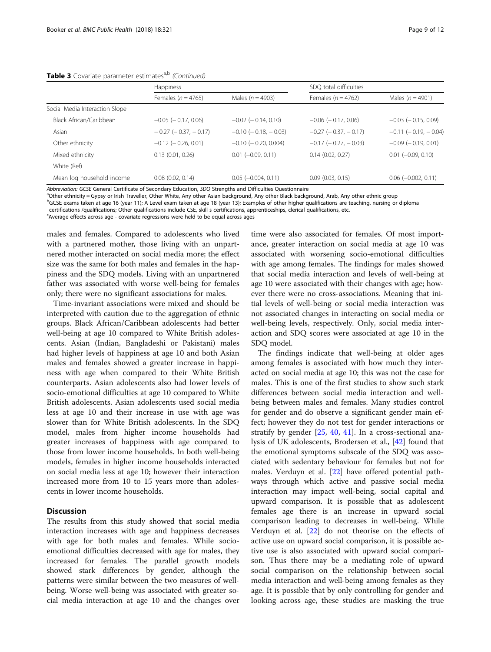|                                | <b>Happiness</b>              |                               | SDQ total difficulties        |                               |
|--------------------------------|-------------------------------|-------------------------------|-------------------------------|-------------------------------|
|                                | Females ( $n = 4765$ )        | Males ( $n = 4903$ )          | Females ( $n = 4762$ )        | Males ( $n = 4901$ )          |
| Social Media Interaction Slope |                               |                               |                               |                               |
| Black African/Caribbean        | $-0.05$ ( $-0.17, 0.06$ )     | $-0.02$ ( $-0.14$ , 0.10)     | $-0.06$ ( $-0.17$ , 0.06)     | $-0.03$ ( $-0.15$ , 0.09)     |
| Asian                          | $-0.27$ ( $-0.37$ , $-0.17$ ) | $-0.10$ ( $-0.18$ , $-0.03$ ) | $-0.27$ ( $-0.37$ , $-0.17$ ) | $-0.11$ ( $-0.19$ , $-0.04$ ) |
| Other ethnicity                | $-0.12$ ( $-0.26$ , 0.01)     | $-0.10$ ( $-0.20$ , 0.004)    | $-0.17$ ( $-0.27$ , $-0.03$ ) | $-0.09$ ( $-0.19$ , 0.01)     |
| Mixed ethnicity                | 0.13(0.01, 0.26)              | $0.01$ $(-0.09, 0.11)$        | 0.14(0.02, 0.27)              | $0.01$ $(-0.09, 0.10)$        |
| White (Ref)                    |                               |                               |                               |                               |
| Mean log household income      | $0.08$ $(0.02, 0.14)$         | $0.05$ ( $-0.004$ , $0.11$ )  | 0.09(0.03, 0.15)              | $0.06$ ( $-0.002$ , $0.11$ )  |

Table 3 Covariate parameter estimates<sup>a,b</sup> (Continued)

Abbreviation: GCSE General Certificate of Secondary Education, SDQ Strengths and Difficulties Questionnaire

<sup>a</sup> Other ethnicity = Gypsy or Irish Traveller, Other White, Any other Asian background, Any other Black background, Arab, Any other ethnic group

b GCSE exams taken at age 16 (year 11); A Level exam taken at age 18 (year 13); Examples of other higher qualifications are teaching, nursing or diploma

certifications /qualifications; Other qualifications include CSE, skill s certifications, apprenticeships, clerical qualifications, etc.

<sup>c</sup>Average effects across age - covariate regressions were held to be equal across ages

males and females. Compared to adolescents who lived with a partnered mother, those living with an unpartnered mother interacted on social media more; the effect size was the same for both males and females in the happiness and the SDQ models. Living with an unpartnered father was associated with worse well-being for females only; there were no significant associations for males.

Time-invariant associations were mixed and should be interpreted with caution due to the aggregation of ethnic groups. Black African/Caribbean adolescents had better well-being at age 10 compared to White British adolescents. Asian (Indian, Bangladeshi or Pakistani) males had higher levels of happiness at age 10 and both Asian males and females showed a greater increase in happiness with age when compared to their White British counterparts. Asian adolescents also had lower levels of socio-emotional difficulties at age 10 compared to White British adolescents. Asian adolescents used social media less at age 10 and their increase in use with age was slower than for White British adolescents. In the SDQ model, males from higher income households had greater increases of happiness with age compared to those from lower income households. In both well-being models, females in higher income households interacted on social media less at age 10; however their interaction increased more from 10 to 15 years more than adolescents in lower income households.

## **Discussion**

The results from this study showed that social media interaction increases with age and happiness decreases with age for both males and females. While socioemotional difficulties decreased with age for males, they increased for females. The parallel growth models showed stark differences by gender, although the patterns were similar between the two measures of wellbeing. Worse well-being was associated with greater social media interaction at age 10 and the changes over

time were also associated for females. Of most importance, greater interaction on social media at age 10 was associated with worsening socio-emotional difficulties with age among females. The findings for males showed that social media interaction and levels of well-being at age 10 were associated with their changes with age; however there were no cross-associations. Meaning that initial levels of well-being or social media interaction was not associated changes in interacting on social media or well-being levels, respectively. Only, social media interaction and SDQ scores were associated at age 10 in the SDQ model.

The findings indicate that well-being at older ages among females is associated with how much they interacted on social media at age 10; this was not the case for males. This is one of the first studies to show such stark differences between social media interaction and wellbeing between males and females. Many studies control for gender and do observe a significant gender main effect; however they do not test for gender interactions or stratify by gender [[25,](#page-10-0) [40,](#page-11-0) [41](#page-11-0)]. In a cross-sectional analysis of UK adolescents, Brodersen et al., [\[42\]](#page-11-0) found that the emotional symptoms subscale of the SDQ was associated with sedentary behaviour for females but not for males. Verduyn et al. [\[22\]](#page-10-0) have offered potential pathways through which active and passive social media interaction may impact well-being, social capital and upward comparison. It is possible that as adolescent females age there is an increase in upward social comparison leading to decreases in well-being. While Verduyn et al. [\[22](#page-10-0)] do not theorise on the effects of active use on upward social comparison, it is possible active use is also associated with upward social comparison. Thus there may be a mediating role of upward social comparison on the relationship between social media interaction and well-being among females as they age. It is possible that by only controlling for gender and looking across age, these studies are masking the true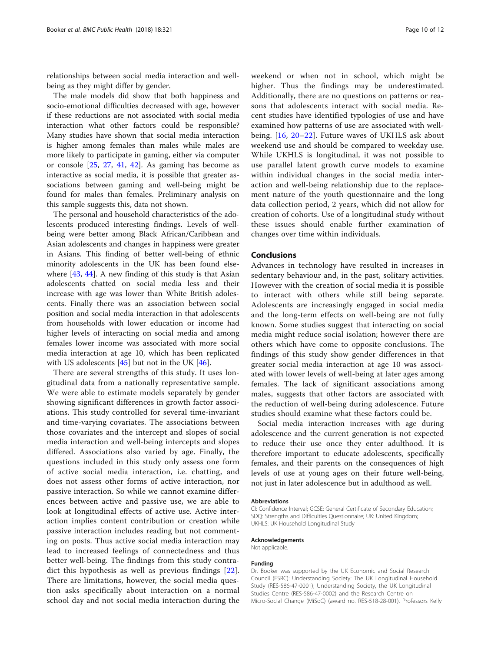relationships between social media interaction and wellbeing as they might differ by gender.

The male models did show that both happiness and socio-emotional difficulties decreased with age, however if these reductions are not associated with social media interaction what other factors could be responsible? Many studies have shown that social media interaction is higher among females than males while males are more likely to participate in gaming, either via computer or console [[25](#page-10-0), [27,](#page-10-0) [41](#page-11-0), [42\]](#page-11-0). As gaming has become as interactive as social media, it is possible that greater associations between gaming and well-being might be found for males than females. Preliminary analysis on this sample suggests this, data not shown.

The personal and household characteristics of the adolescents produced interesting findings. Levels of wellbeing were better among Black African/Caribbean and Asian adolescents and changes in happiness were greater in Asians. This finding of better well-being of ethnic minority adolescents in the UK has been found elsewhere [[43,](#page-11-0) [44\]](#page-11-0). A new finding of this study is that Asian adolescents chatted on social media less and their increase with age was lower than White British adolescents. Finally there was an association between social position and social media interaction in that adolescents from households with lower education or income had higher levels of interacting on social media and among females lower income was associated with more social media interaction at age 10, which has been replicated with US adolescents  $[45]$  $[45]$  but not in the UK  $[46]$ .

There are several strengths of this study. It uses longitudinal data from a nationally representative sample. We were able to estimate models separately by gender showing significant differences in growth factor associations. This study controlled for several time-invariant and time-varying covariates. The associations between those covariates and the intercept and slopes of social media interaction and well-being intercepts and slopes differed. Associations also varied by age. Finally, the questions included in this study only assess one form of active social media interaction, i.e. chatting, and does not assess other forms of active interaction, nor passive interaction. So while we cannot examine differences between active and passive use, we are able to look at longitudinal effects of active use. Active interaction implies content contribution or creation while passive interaction includes reading but not commenting on posts. Thus active social media interaction may lead to increased feelings of connectedness and thus better well-being. The findings from this study contradict this hypothesis as well as previous findings [[22](#page-10-0)]. There are limitations, however, the social media question asks specifically about interaction on a normal school day and not social media interaction during the

weekend or when not in school, which might be higher. Thus the findings may be underestimated. Additionally, there are no questions on patterns or reasons that adolescents interact with social media. Recent studies have identified typologies of use and have examined how patterns of use are associated with wellbeing. [[16](#page-10-0), [20](#page-10-0)–[22\]](#page-10-0). Future waves of UKHLS ask about weekend use and should be compared to weekday use. While UKHLS is longitudinal, it was not possible to use parallel latent growth curve models to examine within individual changes in the social media interaction and well-being relationship due to the replacement nature of the youth questionnaire and the long data collection period, 2 years, which did not allow for creation of cohorts. Use of a longitudinal study without these issues should enable further examination of changes over time within individuals.

## Conclusions

Advances in technology have resulted in increases in sedentary behaviour and, in the past, solitary activities. However with the creation of social media it is possible to interact with others while still being separate. Adolescents are increasingly engaged in social media and the long-term effects on well-being are not fully known. Some studies suggest that interacting on social media might reduce social isolation; however there are others which have come to opposite conclusions. The findings of this study show gender differences in that greater social media interaction at age 10 was associated with lower levels of well-being at later ages among females. The lack of significant associations among males, suggests that other factors are associated with the reduction of well-being during adolescence. Future studies should examine what these factors could be.

Social media interaction increases with age during adolescence and the current generation is not expected to reduce their use once they enter adulthood. It is therefore important to educate adolescents, specifically females, and their parents on the consequences of high levels of use at young ages on their future well-being, not just in later adolescence but in adulthood as well.

#### Abbreviations

CI: Confidence Interval; GCSE: General Certificate of Secondary Education; SDQ: Strengths and Difficulties Questionnaire; UK: United Kingdom; UKHLS: UK Household Longitudinal Study

#### Acknowledgements

Not applicable.

#### Funding

Dr. Booker was supported by the UK Economic and Social Research Council (ESRC): Understanding Society: The UK Longitudinal Household Study (RES-586-47-0001); Understanding Society, the UK Longitudinal Studies Centre (RES-586-47-0002) and the Research Centre on Micro-Social Change (MiSoC) (award no. RES-518-28-001). Professors Kelly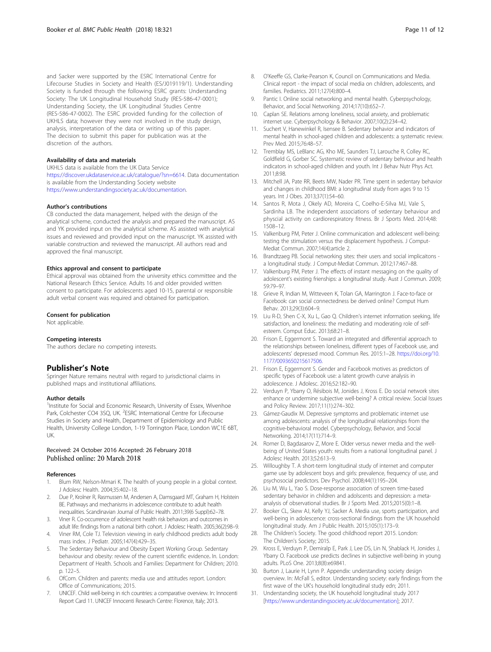<span id="page-10-0"></span>and Sacker were supported by the ESRC International Centre for Lifecourse Studies in Society and Health (ES/J019119/1). Understanding Society is funded through the following ESRC grants: Understanding Society: The UK Longitudinal Household Study (RES-586-47-0001); Understanding Society, the UK Longitudinal Studies Centre (RES-586-47-0002). The ESRC provided funding for the collection of UKHLS data; however they were not involved in the study design, analysis, interpretation of the data or writing up of this paper. The decision to submit this paper for publication was at the discretion of the authors.

## Availability of data and materials

UKHLS data is available from the UK Data Service <https://discover.ukdataservice.ac.uk/catalogue/?sn=6614>. Data documentation is available from the Understanding Society website [https://www.understandingsociety.ac.uk/documentation.](https://www.understandingsociety.ac.uk/documentation)

#### Author's contributions

CB conducted the data management, helped with the design of the analytical scheme, conducted the analysis and prepared the manuscript. AS and YK provided input on the analytical scheme. AS assisted with analytical issues and reviewed and provided input on the manuscript. YK assisted with variable construction and reviewed the manuscript. All authors read and approved the final manuscript.

#### Ethics approval and consent to participate

Ethical approval was obtained from the university ethics committee and the National Research Ethics Service. Adults 16 and older provided written consent to participate. For adolescents aged 10-15, parental or responsible adult verbal consent was required and obtained for participation.

#### Consent for publication

Not applicable.

#### Competing interests

The authors declare no competing interests.

## Publisher's Note

Springer Nature remains neutral with regard to jurisdictional claims in published maps and institutional affiliations.

#### Author details

<sup>1</sup>Institute for Social and Economic Research, University of Essex, Wivenhoe Park, Colchester CO4 3SQ, UK. <sup>2</sup>ESRC International Centre for Lifecourse Studies in Society and Health, Department of Epidemiology and Public Health, University College London, 1-19 Torrington Place, London WC1E 6BT, UK.

## Received: 24 October 2016 Accepted: 26 February 2018 Published online: 20 March 2018

#### References

- Blum RW, Nelson-Mmari K. The health of young people in a global context. J Adolesc Health. 2004;35:402–18.
- 2. Due P, Krolner R, Rasmussen M, Andersen A, Damsgaard MT, Graham H, Holstein BE. Pathways and mechanisms in adolescence contribute to adult health inequalities. Scandinavian Journal of Public Health. 2011;39(6 Suppl):62–78.
- 3. Viner R. Co-occurrence of adolescent health risk behaviors and outcomes in adult life: findings from a national birth cohort. J Adolesc Health. 2005;36(2):98–9.
- Viner RM, Cole TJ. Television viewing in early childhood predicts adult body mass index. J Pediatr. 2005;147(4):429–35.
- 5. The Sedentary Behaviour and Obesity Expert Working Group. Sedentary behaviour and obesity: review of the current scientific evidence. In. London: Department of Health. Schools and Families: Department for Children; 2010. p. 122–5.
- 6. OfCom. Children and parents: media use and attitudes report. London: Office of Communications; 2015.
- 7. UNICEF. Child well-being in rich countries: a comparative overview. In: Innocenti Report Card 11. UNICEF Innocenti Research Centre: Florence, Italy; 2013.
- Clinical report the impact of social media on children, adolescents, and families. Pediatrics. 2011;127(4):800–4.
- Pantic I. Online social networking and mental health. Cyberpsychology, Behavior, and Social Networking. 2014;17(10):652–7.
- 10. Caplan SE. Relations among loneliness, social anxiety, and problematic internet use. Cyberpsychology & Behavior. 2007;10(2):234–42.
- 11. Suchert V, Hanewinkel R, Isensee B. Sedentary behavior and indicators of mental health in school-aged children and adolescents: a systematic review. Prev Med. 2015;76:48–57.
- 12. Tremblay MS, LeBlanc AG, Kho ME, Saunders TJ, Larouche R, Colley RC, Goldfield G, Gorber SC. Systematic review of sedentary behviour and health indicators in school-aged children and youth. Int J Behav Nutr Phys Act. 2011;8:98.
- 13. Mitchell JA, Pate RR, Beets MW, Nader PR. Time spent in sedentary behavior and changes in childhood BMI: a longitudinal study from ages 9 to 15 years. Int J Obes. 2013;37(1):54–60.
- Santos R, Mota J, Okely AD, Moreira C, Coelho-E-Silva MJ, Vale S, Sardinha LB. The independent associations of sedentary behaviour and physcial activity on cardiorespiratory fitness. Br J Sports Med. 2014;48: 1508–12.
- 15. Valkenburg PM, Peter J. Online communication and adolescent well-being: testing the stimulation versus the displacement hypothesis. J Comput-Mediat Commun. 2007;14(4):article 2.
- 16. Brandtzaeg PB. Social networking sites: their users and social implicaitons a longitudinal study. J Comput-Mediat Commun. 2012;17:467–88.
- 17. Valkenburg PM, Peter J. The effects of instant messaging on the quality of adolescent's existing frienships: a longitudinal study. Aust J Commun. 2009; 59:79–97.
- 18. Grieve R, Indian M, Witteveen K, Tolan GA, Marrington J. Face-to-face or Facebook: can social connectedness be derived online? Comput Hum Behav. 2013;29(3):604–9.
- 19. Liu R-D, Shen C-X, Xu L, Gao Q. Children's internet information seeking, life satisfaction, and loneliness: the mediating and moderating role of selfesteem. Comput Educ. 2013;68:21–8.
- 20. Frison E, Eggermont S. Toward an integrated and differential approach to the relationships between loneliness, different types of Facebook use, and adolescents' depressed mood. Commun Res. 2015:1–28. [https://doi.org/10.](https://doi.org/10.1177/0093650215617506) [1177/0093650215617506](https://doi.org/10.1177/0093650215617506).
- 21. Frison E, Eggermont S. Gender and Facebook motives as predictors of specific types of Facebook use: a latent growth curve analysis in adolescence. J Adolesc. 2016;52:182–90.
- 22. Verduyn P, Ybarry O, Résibois M, Jonides J, Kross E. Do social network sites enhance or undermine subjective well-being? A critical review. Social Issues and Policy Review. 2017;11(1):274–302.
- 23. Gámez-Gaudix M. Depressive symptoms and problematic internet use among adolescents: analysis of the longitudinal relationships from the cognitive-behavioral model. Cyberpsychology, Behavior, and Social Networking. 2014;17(11):714–9.
- 24. Romer D, Bagdasarov Z, More E. Older versus newer media and the wellbeing of United States youth: results from a national longitudinal panel. J Adolesc Health. 2013;52:613–9.
- 25. Willoughby T. A short-term longitudinal study of internet and computer game use by adolescent boys and girls: prevalence, frequency of use, and psychosocial predictors. Dev Psychol. 2008;44(1):195–204.
- 26. Liu M, Wu L, Yao S. Dose-response association of screen time-based sedentary behavior in children and adolscents and depression: a metaanalysis of observational studies. Br J Sports Med. 2015;2015(0):1–8.
- 27. Booker CL, Skew AJ, Kelly YJ, Sacker A. Media use, sports participation, and well-being in adolescence: cross-sectional findings from the UK household longitudinal study. Am J Public Health. 2015;105(1):173–9.
- 28. The Children's Society. The good childhood report 2015. London: The Children's Society; 2015.
- 29. Kross E, Verduyn P, Demiralp E, Park J, Lee DS, Lin N, Shablack H, Jonides J, Ybarry O. Facebook use predicts declines in subjective well-being in young adults. PLoS One. 2013;8(8):e69841.
- 30. Burton J, Laurie H, Lynn P. Appendix: understanding society design overview. In: McFall S, editor. Understanding society: early findings from the first wave of the UK's household longitudinal study edn; 2011.
- 31. Understanding society, the UK household longitudinal study 2017 [[https://www.understandingsociety.ac.uk/documentation\]](https://www.understandingsociety.ac.uk/documentation); 2017.